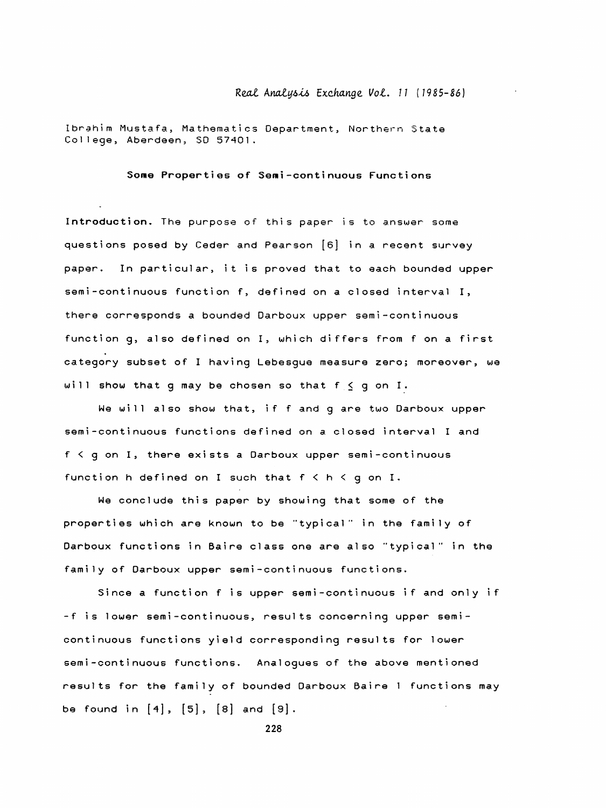## Real Analysis Exchange Vol. 11 (1985-86)

 Ibrahim Mustafa, Mathematics Department, Northern State College, Aberdeen, SD 57401.

Some Properties of Semi-continuous Functions

Introduction. The purpose of this paper is to answer some questions posed by Ceder and Pearson [6] in a recent survey paper. In particular, it is proved that to each bounded upper semi-continuous function f, defined on a closed interval I, there corresponds a bounded Darboux upper semi-continuous function g, also defined on I, which differs from f on a first category subset of I having Lebesgue measure zero; moreover, we will show that q may be chosen so that  $f \le q$  on I.

 We will also show that, if f and g are two Darboux upper semi-continuous functions defined on a closed interval I and  $f < q$  on I, there exists a Darboux upper semi-continuous function h defined on I such that  $f \le h \le g$  on I.

 We conclude this paper by showing that some of the properties which are known to be "typical" in the family of Darboux functions in Baire class one are also "typical" in the family of Darboux upper semi-continuous functions.

Since a function f is upper semi-continuous if and only if -f is lower semi-continuous, results concerning upper semicontinuous functions yield corresponding results for lower semi-continuous functions. Analogues of the above mentioned results for the family of bounded Darboux Baire 1 functions may be found in  $[4]$ ,  $[5]$ ,  $[8]$  and  $[9]$ .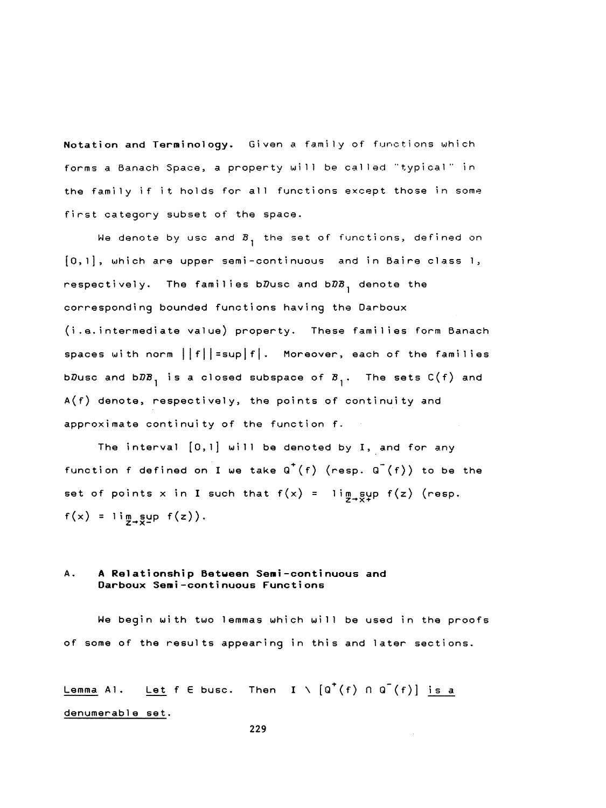Notation and Terminology, Given a family of functions which forms a Banach Space, a property will be called "typical" in the family if it holds for all functions except those in some first category subset of the space.

We denote by usc and  $B_1$  the set of functions, defined on  $[0,1]$ , which are upper semi-continuous and in Baire class 1, respectively. The families b $D$ usc and b $D\mathcal{B}_{\mathcal{A}}$  denote the corresponding bounded functions having the Darboux (i.e. intermediate value) property. These families form Banach spaces with norm  $||f|| = \sup |f|$ . Moreover, each of the families bDusc and bDB<sub>1</sub> is a closed subspace of  $B_1$ . The sets C(f) and  $A(f)$  denote, respectively, the points of continuity and approximate continuity of the function f.

The interval  $[0,1]$  will be denoted by I, and for any function f defined on I we take  $Q^+(f)$  (resp.  $Q^-(f)$ ) to be the set of points x in I such that  $f(x) = \lim_{x\to 0} \frac{1}{x}$  f(z) (resp.  $f(x) = \lim_{x \to 0} \sup_{x \in \mathbb{R}} f(z)$ .

## A, A Relationship Between Seni -conti nuous and Darboux Semi -conti nuous Functions

 We begin with two lemmas which will be used in the proofs of some of the results appearing in this and later sections.

Lemma Al. Let f E busc. Then  $I \setminus [Q^+(f) \cap Q^-(f)]$  is a denumerable set,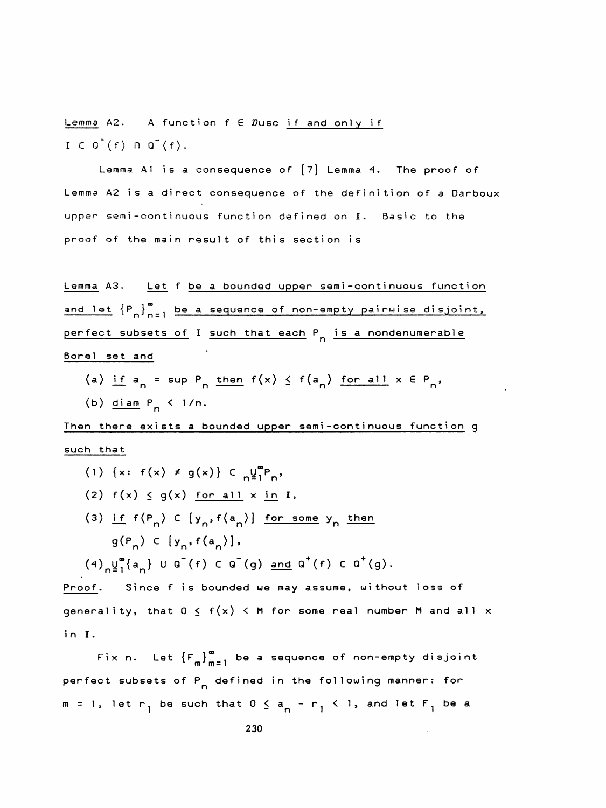Lemma A2. A function  $f \in \mathcal{D}$ usc if and only if  $I \subset G^+(f) \cap G^-(f)$ .

Lemma Al is a consequence of  $[7]$  Lemma 4. The proof of Lemma A2 is a direct consequence of the definition of a Darboux upper semi-continuous function defined on I. Basic to the proof of the main result of this section is

Lemma A3. Let f be a bounded upper semi-continuous function and let  ${P_n}_{n=1}^{\infty}$  be a sequence of non-empty pairwise disjoint, Lemma A3. Let<br>and let  ${P_n}_{n=1}^{\infty}$ <br>perfect subsets of<br>Borel set and perfect subsets of I such that each P<sub>n</sub> is a nondenumerable Borei set and Fect subsets of I <u>such that each</u>  $P_n$  is a nondenumerable<br>alset and<br>(a) if  $a_n = \sup P_n$  then  $f(x) \le f(a_n)$  for all  $x \in P_n$ ,<br>(b) diam  $P_n \le 1/n$ .<br>n there exists a bounded upper semi-continuous function 9

(a) if  $a_n = \sup P_n$  then  $f(x) \leq f(a_n)$  for all  $x \in P_n$ ,  $(b)$  diam  $P_n$  < 1/n.

Then there exists a bounded upper semi-continuous function g such that

(1) {x:  $f(x) \neq g(x)$ } C  $g^{up}_{1}P_{p}$ , (2)  $f(x) \le g(x)$  for all  $x \in I$ , (3) if  $f(P_n)$  C  $[y_n,f(a_n)]$  for some y<sub>n</sub> then  $g(P_n) \in [y_n, f(a_n)],$  $(4)$ <sub>n</sub> $\frac{1}{2}$ <sup>o</sup> $\{a_n\}$  U  $Q^-(f)$  C  $Q^-(g)$  and  $Q^+(f)$  C  $Q^+(g)$ .

Proof. Since f is bounded we may assume, without loss of generality, that  $0 \le f(x) < M$  for some real number M and all x in I.

Fix n. Let  ${F_m \choose m}^{\infty}_{m=1}$  be a sequence of non-empty disjoint perfect subsets of P<sub>n</sub> defined in the following manner: for  $m = 1$ , let  $r - 1$  be such that  $0 \le a - r - 1$ , and let  $F - 1$  be a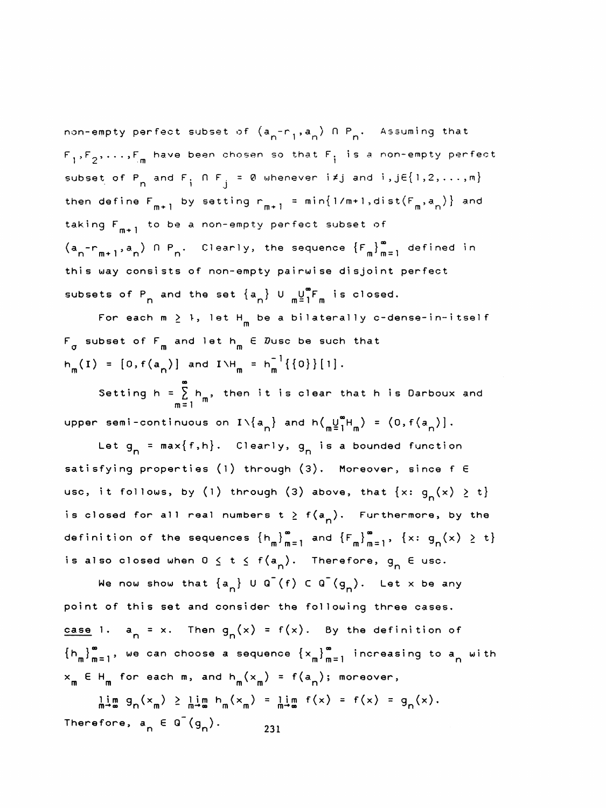non-empty perfect subset of  $(a^{\phantom{a}}_{n} - r^{\phantom{a}}_{1},a^{\phantom{a}}_{n})$  fl  $P^{\phantom{a}}_{n}$ . Assuming that  $F_1,F_2,\ldots,F_m$  have been chosen so that  $F_i$  is a non-empty perfect subset of P<sub>n</sub> and F<sub>i</sub>  $\bigcap F_{j} = \emptyset$  whenever i  $\neq j$  and  $i, j \in \{1, 2, ..., m\}$ <br>then define  $F_{m+1}$  by setting  $r_{m+1} = min\{1/m+1, dist(F_m, a_n)\}$  and subset of P<sub>n</sub> and F<sub>i</sub> N F<sub>j</sub> = 0 whenever i<sub>\*</sub>j and i,je{1,2,...,m}<br>then define F<sub>m+1</sub> by setting r<sub>m+1</sub> = min{1/m+1,dist(F<sub>m</sub>,a<sub>n</sub>)} and taking  $F_{m+1}$  to be a non-empty perfect subset of  $(a_n - r_{m+1}, a_n)$   $\cap P_n$ . Clearly, the sequence  $\{F_m\}_{m=1}^{\infty}$  defined in this way consists of non-empty pairwise disjoint perfect subsets of P<sub>n</sub> and the set  $\{a_n\}$  U  $\frac{10}{10}$  F<sub>m</sub> is closed.

For each  $m \geq 1$ , let  $H_m$  be a bilaterally c-dense-in-itself  $F_{\pi}$  subset of  $F_{\pi}$  and let  $h_{\pi}$   $\in$   $\mathcal{D}% _{\pi}$   $\mathcal{D}_{\pi}$  and  $\mathcal{D}_{\pi}$   $\in$   $\mathcal{D}_{\pi}$  and  $\mathcal{D}_{\pi}$ For each  $m \ge 1$ , let H<br>g subset of  $F_m$  and let  $h_m$ <br> $\langle F \rangle = \frac{[Q, g(x)]}{[Q, g(x)]}$ subsets of  $P_n$  and the set  $\{a_n\}$  U  $\frac{m^m}{m}$  is closed.<br>
For each  $m \ge 1$ , let  $H_m$  be a bilaterally c-dense-in-itself<br>  $F_{\sigma}$  subset of  $F_m$  and let  $h_m \in \mathbb{Z}$ usc be such that<br>  $h_m(I) = [0, f(a_n)]$  and  $I \vee H_m = h_m^{-1}\{\{$ 

Setting h =  $\sum_{m=1}^{\infty} h_m$ , then it is clear that h is Darboux and upper semi-continuous on  $I\setminus\{a_{n}\}\$  and  $h\left(\frac{u}{n}\right)_{1}^{m}H_{m}^{m}$  =  $(0, f(a_{n})]$ .

Let  $g_n = max\{f, h\}$ . Clearly,  $g_n$  is a bounded function satisfying properties (l) through (3). Moreover, since f 6 usc, it follows, by (1) through (3) above, that  $\{x: g_n(x) \ge t\}$ is closed for all real numbers  $t \ge f(a_n)$ . Furthermore, by the definition of the sequences  $\{h_m\}_{m=1}^{\infty}$  and  $\{F_m\}_{m=1}^{\infty}$ ,  $\{x: g_n(x) \ge t\}$ ition of the sequences  $\{h_m\}_{m=1}^{\infty}$  and  $\{F_m\}_{m=1}^{\infty}$ ,  $\{x: g_n(x) \ge t\}$ <br>so closed when  $0 \le t \le f(a_n)$ . Therefore,  $g_n \in \text{usc.}$ <br>We now show that  $\{a_n\} \cup \mathbb{Q}^-(f) \subset \mathbb{Q}^-(g_n)$ . Let x be any<br>of this set and conside

is also closed when  $0 \le t \le f(a_n)$ . Therefore,  $g_n \in \text{usc.}$ <br>We now show that  $\{a_n\} \cup \overline{a}(f) \subset \overline{a}(g_n)$ . Let x be any point of this set and consider the following three cases. <u>case</u> 1. a<sub>n</sub> = x. Then  $g_n(x) = f(x)$ . By the definition of  ${n \n \choose m }_{m=1}^{\infty}$ , we can choose a sequence  ${x \choose x_m}_{m=1}^{\infty}$  increasing to a with  $\mathsf{x}_{\mathsf{m}}$   $\mathsf{E}\ \mathsf{H}_{\mathsf{m}}$  for each  $\mathsf{m}$ , and  $\mathsf{h}_{\mathsf{m}}(\mathsf{x}_{\mathsf{m}})$  = f(a<sub>n</sub>); moreover, m m-1<br>m E H<sub>m</sub> for each m, and h<sub>m</sub>(x<sub>m</sub>) = f(a<sub>n</sub>

 $\lim_{m \to \infty} g_n(x_m) \ge \lim_{m \to \infty} h_m(x_m) = \lim_{m \to \infty} f(x) = f(x) = g_n(x)$ . Therefore,  $a_n \in G^-(g_n)$ . 231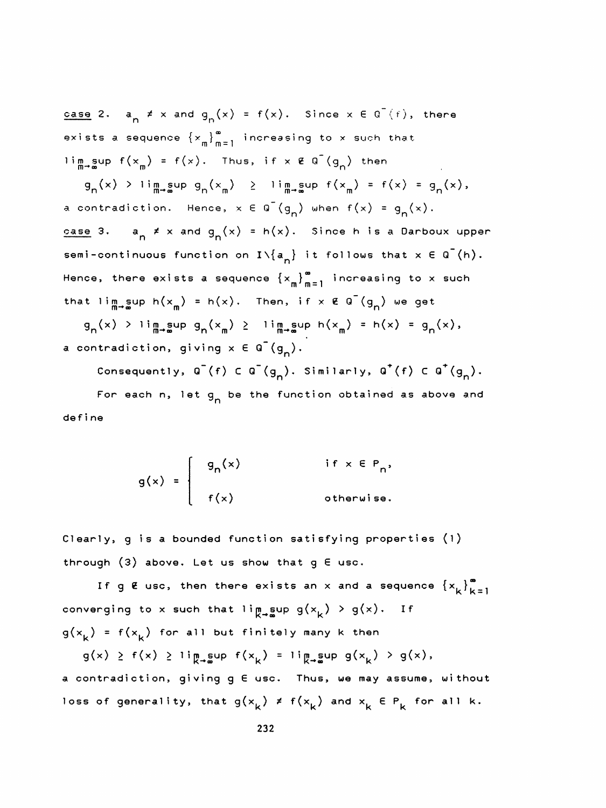<u>case</u> 2. a<sub>n</sub>  $\neq$  x and g<sub>n</sub>(x) = f(x). Since x E G (f), there exists a sequence  $\left\{ x_{m} \right\}_{m = 1}^{\infty}$  increasing to x such that lim sup  $f(x_m) = f(x)$ . Thus, if  $x \notin \overline{G}(g_n)$  then

 $g_n(x)$  > lim sup  $g_n(x_n)$  > lim sup  $f(x_n) = f(x) = g_n(x)$ , a contradiction. Hence,  $x \in Q^{-}(g_{n})$  when  $f(x) = g_{n}(x)$ . <u>case</u> 3.  $a_n \neq x$  and  $g_n(x) = h(x)$ . Since h is a Darboux upper semi-continuous function on  $I\setminus\{a^{\ }_{n}\}$  it follows that  $x \in Q^-(h)$ . Hence, there exists a sequence  $\{x_{\mathfrak{m}}\}_{\mathfrak{m}=1}^{\infty}$  increasing to x such that lim<sub>m</sub>-gup h(x<sub>m</sub>) = h(x). Then, if x  $\epsilon$  Q<sup>-</sup>(g<sub>n</sub>) we get  $g_n(x)$  > lim sup  $g_n(x_n)$  > lim sup  $h(x_m) = h(x) = g_n(x)$ , a contradiction, giving  $x \in G^-(g_n)$ .

Consequently,  $Q^{-}(f) \subset Q^{-}(g_{n})$ . Similarly,  $Q^{+}(f) \subset Q^{+}(g_{n}).$ For each n, let g<sub>n</sub> be the function obtained as above and def i ne

$$
g(x) = \begin{cases} g_n(x) & \text{if } x \in P_n, \\ f(x) & \text{otherwise.} \end{cases}
$$

 Clearly, g is a bounded function satisfying properties (i) through  $(3)$  above. Let us show that  $g \in \text{usc.}$ 

If g  $E$  usc, then there exists an  $x$  and a sequence  $\{x_k\}_{k=1}^{\infty}$ converging to x such that ling sup  $g(x_k) > g(x)$ . If  $g(x_k) = f(x_k)$  for all but finitely many k then verging to x such that li $\mathfrak{m}_{\ast}$ sup g(x<sub>k</sub>) > g(x). If<br>  $\kappa$ ) = f(x<sub>k</sub>) for all but finitely many k then<br>
g(x) > f(x) > li $\mathfrak{m}_{\ast}$ sup f(x<sub>k</sub>) = li $\mathfrak{m}_{\ast}$ sup g(x<sub>k</sub>) > g(x),<br>
ontradiction, giving g E usc. Th

 a contradiction, giving g 6 use. Thus, we may assume, without loss of generality, that  $g(x_k) \neq f(x_k)$  and  $x_k \in P_k$  for all k.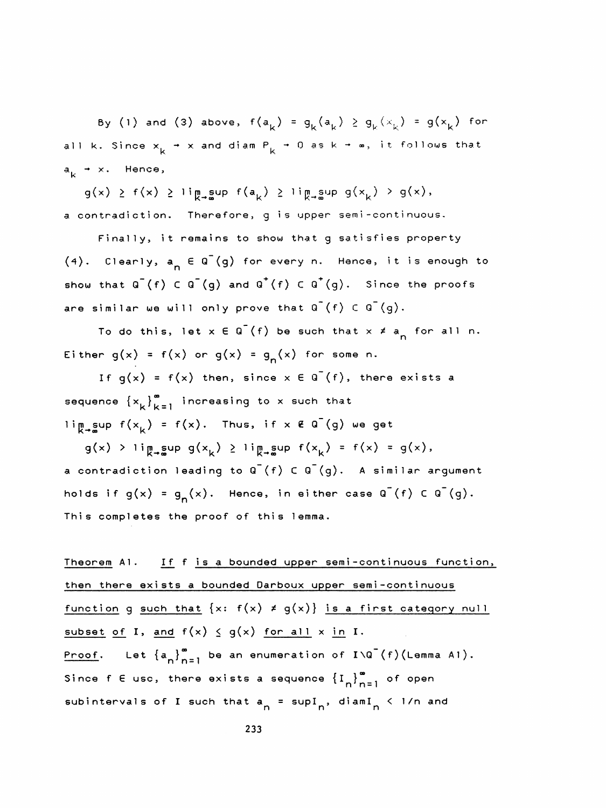By (1) and (3) above,  $f(a_k) = g_k(a_k) \ge g_k(x_k) = g(x_k)$  for all k. Since  $x_k \rightarrow x$  and diam  $P_k \rightarrow 0$  as k  $\rightarrow \infty$ , it follows that a<sub>k</sub> → x. Hence,

 $g(x) \ge f(x) \ge \lim_{k \to \infty} g(x_k) \ge \lim_{k \to \infty} g(x_k) > g(x),$ a contradiction. Therefore, g is upper semi-continuous.

 Finally, it remains to show that g satisfies property  $(4)$ . Clearly,  $a_n \in Q^-(q)$  for every n. Hence, it is enough to show that  $Q^{-}(f)$  C  $Q^{-}(g)$  and  $Q^{+}(f)$  C  $Q^{+}(g)$ . Since the proofs are similar we will only prove that  $Q^{-}(f) \subset Q^{-}(g)$ . show that  $Q^{-}(f) \subset Q^{-}(g)$  and  $Q^{+}(f) \subset Q^{+}(g)$ . Since the proofs<br>are similar we will only prove that  $Q^{-}(f) \subset Q^{-}(g)$ .<br>To do this, let  $x \in Q^{-}(f)$  be such that  $x \neq a_{n}$  for all n.<br>Either  $g(x) = f(x)$  or  $g(x) = g_{n}(x)$  for some n

To do this, let  $x \in Q^{-}(f)$  be such that  $x \neq a_{n}$  for all n.<br>Either  $g(x) = f(x)$  or  $g(x) = g_{n}(x)$  for some n.

If  $g(x) = f(x)$  then, since  $x \in \overline{G}(f)$ , there exists a sequence  $\{x_k\}_{k=1}^{\infty}$  increasing to x such that  $\lim_{k \to \infty} \sup f(x_k) = f(x)$ . Thus, if x  $\mathcal{E}$  Q (g) we get

 $g(x)$  > lingsup  $g(x_k) \geq$  lingsup  $f(x_k) = f(x) = g(x)$ , a contradiction leading to  $Q^{-}(f)$   $C$   $Q^{-}(g)$ . A similar argument holds if  $g(x) = g^x(x)$ . Hence, in either case  $g^x(f) \in g^y(g)$ . This completes the proof of this lemma.

Theorem A1. If f is a bounded upper semi-continuous function, then there exists a bounded Darboux upper semi-continuous function g such that  $\{x: f(x) \neq g(x)\}$  is a first category null subset of I, and  $f(x) \le g(x)$  for all x in I. <u>Proof</u>. Let  $\{a_{n}\}_{n=1}^{\infty}$  be an enumeration of  $I\setminus G^{-}(f)(L)$ emma Al). then there exists a bounded Darboux upper semi-continuous<br>
function g such that  $\{x: f(x) \neq g(x)\}$  is a first category null<br>
subset of I, and  $f(x) \leq g(x)$  for all  $x \text{ in } I$ .<br>
Proof. Let  $\{a_n\}_{n=1}^{\infty}$  be an enumeration of Since f E usc, there exists a sequence  $\left\{\mathbf{I}_n\right\}_{n=1}^{\infty}$  of open<br>subintervals of I such that  $a_n = \text{supI}_n$ , diamI<sub>n</sub> < 1/n and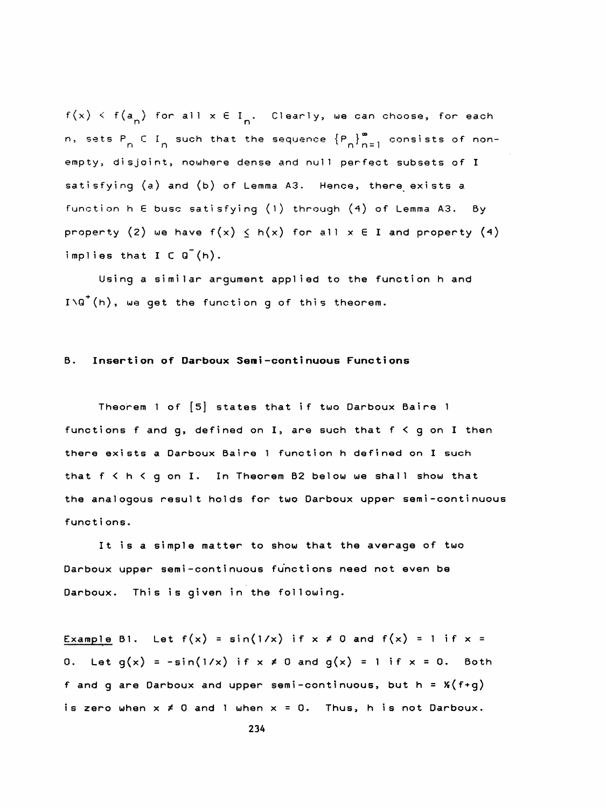$f(x) \leq f(a_n)$  for all  $x \in I_n$ . Clearly, we can choose, for each n, sets P<sub>n</sub> C I<sub>n</sub> such that the sequence  ${P_n}_{n=1}^{\infty}$  consists of non empty, disjoint, nowhere dense and null perfect subsets of I satisfying (a) and (b) of Lemma A3. Hence, there exists a function h E busc satisfying (1) through (4) of Lemma A3. By property (2) we have  $f(x) \leq h(x)$  for all  $x \in I$  and property (4) implies that  $I \subset G^{-}(h)$ .

 Using a similar argument applied to the function h and  $I\setminus G^+(h)$ , we get the function g of this theorem.

## B. Insertion of Darboux Semi-continuous Functions

 Theorem 1 of [5] states that if two Darboux Baire 1 functions f and g, defined on I, are such that  $f < g$  on I then there exists a Darboux Baire 1 function h defined on I such that  $f < h < g$  on I. In Theorem B2 below we shall show that the analogous result holds for two Darboux upper semi-continuous functi ons.

 It is a simple matter to show that the average of two Darboux upper semi-continuous functions need not even be Darboux. This is given in the following.

Example B1. Let  $f(x) = \sin(1/x)$  if  $x \ne 0$  and  $f(x) = 1$  if  $x =$ 0. Let  $g(x) = -\sin(1/x)$  if  $x \neq 0$  and  $g(x) = 1$  if  $x = 0$ . Both f and g are Darboux and upper semi-continuous, but  $h = X(f+g)$ is zero when  $x \neq 0$  and 1 when  $x = 0$ . Thus, h is not Darboux.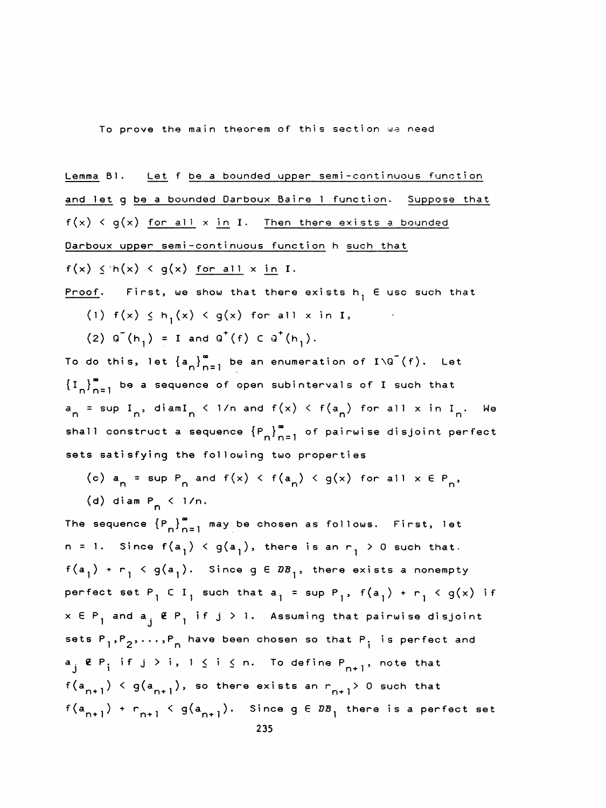To prove the main theorem of this section we need

Lemma B1. Let f be a bounded upper semi-continuous function and let g be a bounded Darboux Baire 1 function. Suppose that  $f(x) < g(x)$  for all  $x \text{ in } I$ . Then there exists a bounded Darboux upper semi-continuous function h such that  $f(x) \leq h(x) < g(x)$  for all x in I. Proof. First, we show that there exists  $h_1$  E use such that (1)  $f(x) \le h^1(x) < g(x)$  for all x in I,

(2)  $Q^{T}(h_1) = I$  and  $Q^{T}(f)$  C  $Q^{T}(h_1)$ .

To do this, let  $\{a_n\}_{n=1}^{\infty}$  be an enumeration of I\G<sup>-</sup>(f). Let  $\{I_n\}_{n=1}^{\infty}$  be a sequence of open subintervals of I such that To do this, let  $\{a_n\}_{n=1}^{\infty}$  be an enumeration of  $I\setminus G^-(f)$ . Let<br> $\{I_n\}_{n=1}^{\infty}$  be a sequence of open subintervals of I such that<br> $\{I_n\}_{n=1}^{\infty}$  be a sequence of open subintervals of I such that  $a_n$  = sup I<sub>n</sub>, diamI<sub>n</sub> < 1/n and f(x) < f(a<sub>n</sub>) for all x in I<sub>n</sub>. We<br>shall construct a sequence  $\{P_n\}_{n=1}^{\infty}$  of pairwise disjoint perfect  $\left\{I_{n}\right\}_{n=1}^{\infty}$  be a sequence of open subintervals of I such that<br>a<sub>n</sub> = sup I<sub>n</sub>, diamI<sub>n</sub> < 1/n and f(x) < f(a<sub>n</sub>) for all x in I<sub>n</sub>. We<br>shall construct a sequence  $\left\{P_{n}\right\}_{n=1}^{\infty}$  of pairwise disjoint perf sets satisfying the following two properties

- (c)  $a_n = \sup P_n$  and  $f(x) < f(a_n) < g(x)$  for all  $x \in P_n$ ,
- (d) diam  $P_n$  < 1/n.

The sequence  ${P_n}_{n=1}^{\infty}$  may be chosen as follows. First, let n = 1. Since  $f(a^1) < g(a^1)$ , there is an  $r^1 > 0$  such that.  $f(a^1) + r^1 \leq g(a^1)$ . Since  $g \in \mathbb{Z}^2$ , there exists a nonempty perfect set  $P_1 \subset I_1$  such that  $a_1 = \sup P_1$ ,  $f(a_1) + r_1 \le g(x)$  if  $x$  E  $\mathsf{P}_{\mathsf{p}}$  and  $\mathsf{a}_{\mathsf{j}}$  (E  $\mathsf{P}_{\mathsf{p}}$  if  $\mathsf{j}$   $>$  1. Assuming that pairwise disjoint sets  $P_1, P_2, \ldots, P_n$  have been chosen so that  $P_i$  is perfect and and  $a_j \notin P_j$  if  $j > 1$ . Assuming that p<br>  $\binom{1}{1}, \binom{1}{2}, \ldots, \binom{p}{n}$  have been chosen so that  $P_j$ <br>
if  $j > j, 1 \leq j \leq n$  . To define P  $a_i \notin P_i$  if  $j > i$ ,  $1 \le i \le n$ . To define  $P_{n+1}$ , note that  $f(a_{n+1}) \leq g(a_{n+1}),$  so there exists an  $r_{n+1} > 0$  such that  $f(a_{n+1}) + r_{n+1} \leq g(a_{n+1}).$  Since  $g \in DB_1$  there is a perfect set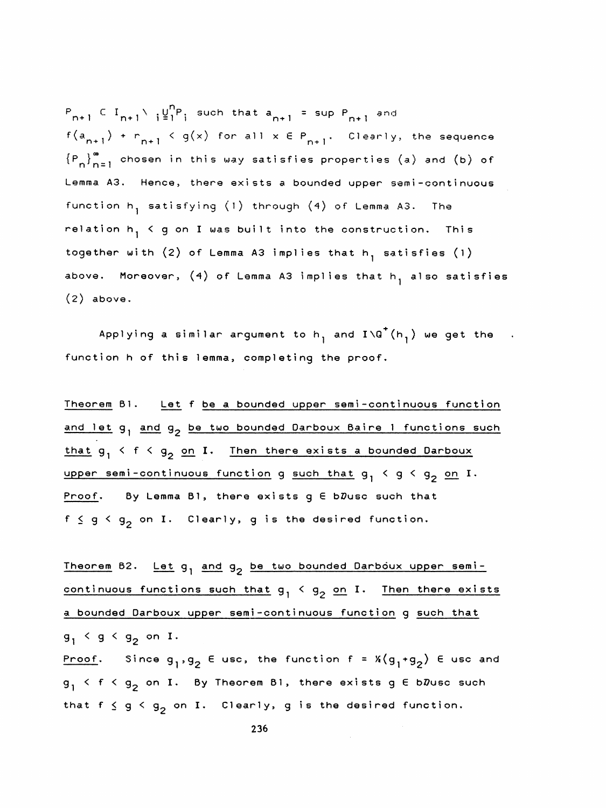$P_{n+1} \subset I_{n+1} \setminus \{ \underline{\psi}_1^n P_i \}$  such that  $a_{n+1} = \sup P_{n+1}$  and  $f(a_{n+1}) + r_{n+1} < g(x)$  for all  $x \in P_{n+1}$ . Clearly, the sequence  $\{P_n\}_{n=1}^{\infty}$  chosen in this way satisfies properties (a) and (b) of  ${P}_{n+1} \subset I_{n+1} \setminus i^{U'_{1}P_{1}}$  such that  $a_{n+1}$  = sup  ${P}_{n+1}$  and<br> $f(a_{n+1}) + {P}_{n+1} < g(x)$  for all  $x \in {P}_{n+1}$ . Clearly, the sequence<br> $\{{P}_{n}\}_{n=1}^{\infty}$  chosen in this way satisfies properties (a) and (b) of<br>Lemma A3. Lemma A3. Hence, there exists a bounded upper semi-continuous function h<sub>1</sub> satisfying (1) through (4) of Lemma A3. The relation  $h_1 \le g$  on I was built into the construction. This together with  $(2)$  of Lemma A3 implies that h, satisfies  $(1)$ above. Moreover,  $(4)$  of Lemma A3 implies that  $h^1$  also satisfies  $(2)$  above.

Applying a similar argument to  $h^1$  and  $I\setminus G^+(h^1)$  we get the function h of this lemma, completing the proof.

Theorem B1. Let f be a bounded upper semi-continuous function and let  $g_1$  and  $g_2$  be two bounded Darboux Baire 1 functions such that  $g_1 \leq f \leq g_2$  on I. Then there exists a bounded Darboux upper semi-continuous function g such that  $g_1 \lt g \lt g_2$  on I. Proof. By Lemma Bl, there exists  $g \in b\mathcal{D}$ usc such that  $f \le g \le g_2^{\circ}$  on I. Clearly,  $g$  is the desired function.

Theorem B2. Let  $g_1$  and  $g_2$  be two bounded Darboux upper semicontinuous functions such that  $g_1 < g_2$  on I. Then there exists a bounded Darboux upper semi-continuous function g such that  $g_1$  <  $g$  <  $g_2$  on I. Proof. Since  $g^1, g^2$  E usc, the function f =  $x(g^1+g^2)$  E usc and  $g_1$  < f <  $g_2$  on I. By Theorem B1, there exists g E bDusc such that  $f \le g \le g^2$  on I. Clearly, g is the desired function.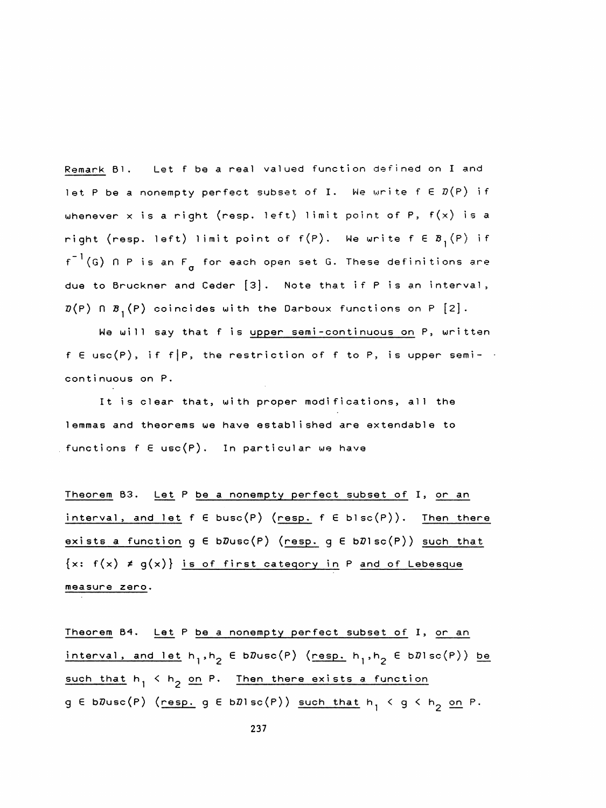Remark B1. Let f be a real valued function defined on I and let P be a nonempty perfect subset of I. We write  $f \in \mathcal{D}(P)$  if whenever x is a right (resp. left) limit point of P,  $f(x)$  is a right (resp. left) limit point of  $f(P)$ . We write  $f \in B^{1}_{1}(P)$  if  $f^{-1}(G)$  n P is an  $F_{\sigma}$  for each open set G. These definitions are due to Bruckner and Ceder [3], Note that if P is an interval,  $\mathcal{D}(P)$   $\cap$   $\mathcal{B}_1(P)$  coincides with the Darboux functions on P [2].

We will say that f is <u>upper semi-continuous on</u> P, written  $f \in usc(P)$ , if  $f|P$ , the restriction of f to P, is upper semicontinuous on P.

 It is clear that, with proper modifications, all the lemmas and theorems we have established are extendable to functions f  $\in$  usc $(P)$ . In particular we have

 Theorem B3, Let P be a nonempty perfect subset of I, or an interval, and let  $f \in \text{busc}(P)$  (resp.  $f \in \text{blesc}(P)$ ). Then there exists a function  $g \in b\mathcal{D}$ usc $(P)$  (resp.  $g \in b\mathcal{D}$ lsc $(P)$ ) such that  $\{x: f(x) \neq g(x)\}\$  is of first category in P and of Lebesque measure zero.

Theorem B4. Let P be a nonempty perfect subset of I, or an interval, and let  $h_1,h_2 \in bDuse(P)$  (resp.  $h_1,h_2 \in bDisc(P)$ ) be such that  $h_1 \leq h_2$  on P. Then there exists a function g E bDusc(P) (resp. g E bDlsc(P)) such that  $h_1 \le g \le h_2$  on P.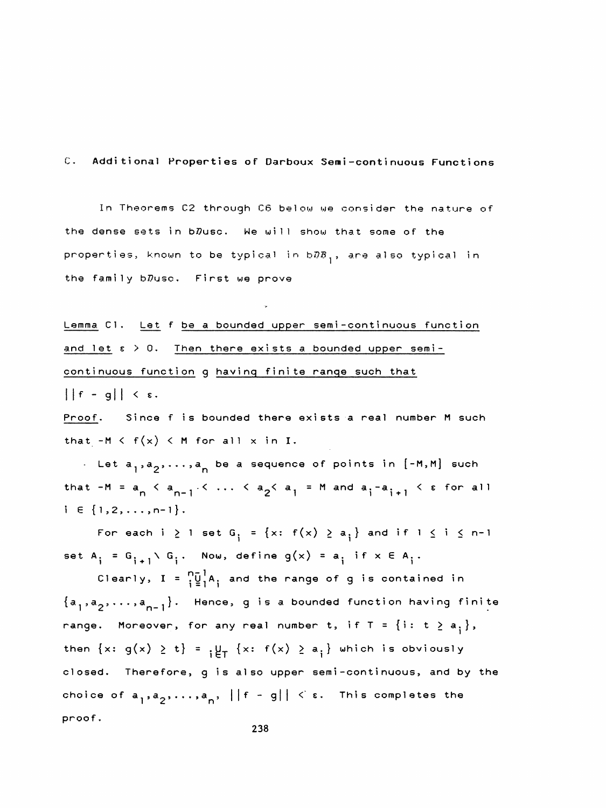C. Additional Properties of Darboux Semi-continuous Functions

 In Theorems C2 through C6 below we consider the nature of the dense sets in b $D$ usc. We will show that some of the properties, known to be typical in  $b\bar{\theta}B_1$ , are also typical in the family bDusc. First we prove

Lemma C1. Let f be a bounded upper semi-continuous function and let  $s > 0$ . Then there exists a bounded upper semicontinuous function g having finite range such that  $||f - g|| < \varepsilon.$ 

 Proof, Since f is bounded there exists a real number M such that  $-M < f(x) < M$  for all x in I.

. Let  $a_1, a_2, \ldots, a_n$  be a sequence of points in  $[-M, M]$  such that  $-M = a_n \leq a_{n-1} \leq \ldots \leq a_2 \leq a_1 = M$  and  $a_i - a_{i+1} \leq \varepsilon$  for all that  $-M = a_n \le a_{n-1} \le ... \le a_2 \le a_1 = M$  and  $a_i - a_{i+1} \le \epsilon$  for all<br>i  $\in \{1, 2, ..., n-1\}.$ 

For each i  $\geq 1$  set G<sub>i</sub> = {x: f(x)  $\geq a_i$ } and if  $1 \leq i \leq n-1$ set A<sub>i</sub> = G<sub>1+1</sub>\ G<sub>i</sub>. Now, define g(x) = a<sub>i</sub> if x E A<sub>i</sub>.<br>Clearly, I =  $\int_{1}^{\infty} \frac{1}{2} A_1$  and the range of g is contained in

 $G_i = G_{i+1} \setminus G_i$ . Now, define  $g(x) = a_i$  if  $x \in A_i$ .<br>Clearly,  $I = \frac{n-1}{i}A_i$  and the range of g is contained in Clearly,  $I = \frac{n}{i} \frac{1}{2} A_i$  and the range of g is contained in<br>{a<sub>1</sub>,a<sub>2</sub>,...,a<sub>n-1</sub>}. Hence, g is a bounded function having finite range. Moreover, for any real number t, if  $T = \{i: t \ge a_{i}\},$ then  $\{x: g(x) \ge t\} = \frac{1}{t} \left\{ x: f(x) \ge a_i \right\}$  which is obviously closed. Therefore, g is also upper semi-continuous, and by the choice of  $a^1, a^2, \ldots, a^l$ ,  $||f - g|| < \varepsilon$ . This completes the proof .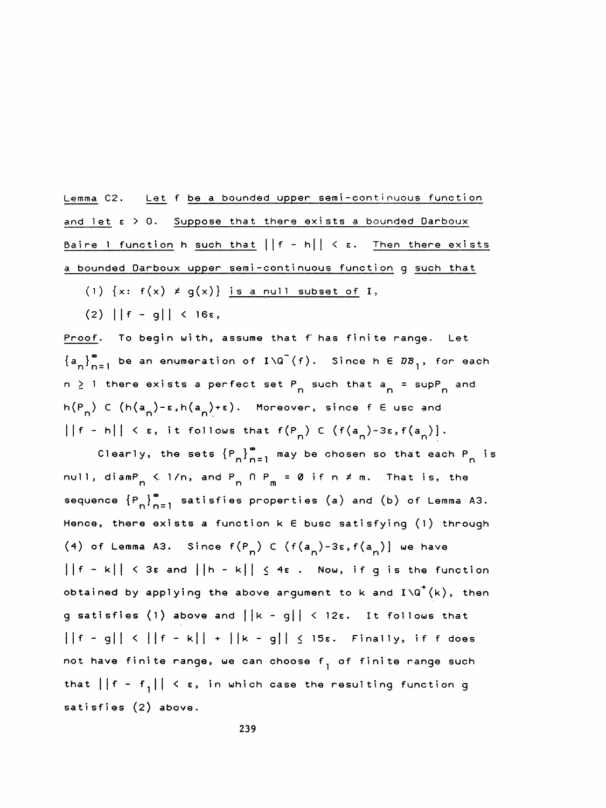Lemma C2. Let f be a bounded upper semi-conti nuous function and let  $\epsilon > 0$ . Suppose that there exists a bounded Darboux Baire 1 function h such that  $||f - h|| < \varepsilon$ . Then there exists a bounded Darboux upper semi-continuous function g such that

- (1)  $\{x: f(x) \neq g(x)\}\$  is a null subset of I,
- $(2)$  ||f g|| < 16s,

Proof. To begin with, assume that f has finite range. Let  $\{a_{n}\}_{n=1}^{\infty}$  be an enumeration of  $I\setminus G^{-}(f)$ . Since h  $\in B\mathcal{B}_{1}$ , for each n  $\geq$  1 there exists a perfect set P<sub>n</sub> such that a<sub>n</sub> = supP<sub>n</sub> and f). Since h E DB<sub>1</sub>, fo<br>n such that a<sub>n</sub> = supP<sub>n</sub><br>. Proof. To begin with, assume that f has finite range. Let<br>
{a<sub>n</sub>}<sup>m</sup><sub>=1</sub> be an enumeration of I\Q<sup>-</sup>(f). Since h E  $DB_1$ , for each<br>
n  $\geq$  1 there exists a perfect set P<sub>n</sub> such that a<sub>n</sub> = supP<sub>n</sub> and<br>
h(P<sub>n</sub>) C (h(a<sub>n</sub>  $\{a_n\}_{n=1}^{\infty}$  be an enumeration of  $I\setminus G^-(f)$ . Since  $h \in B\mathcal{B}_1$ , for each<br>  $h \geq 1$  there exists a perfect set  $P_n$  such that  $a_n = \sup P_n$  and<br>  $\{P_n\} \subset (h(a_n) - \varepsilon, h(a_n) + \varepsilon)$ . Moreover, since  $f \in \text{usc and}$ <br>  $\left|\{f - h\}$ there exists a perfect set  $P_n$  such that  $a_n = \sup P_n$  and<br>
C (h( $a_n$ )- $\epsilon$ ,h( $a_n$ )+ $\epsilon$ ). Moreover, since  $f \in \text{usc and}$ <br>
h|| <  $\epsilon$ , it follows that  $f(P_n) \subset (f(a_n) - 3\epsilon, f(a_n))$ .<br>
Clearly, the sets  ${P_n}_{n=1}^{\infty}$  may be chosen so

null, diam $P_{n} \leq 1/n$ , and  $P_{n} \cap P_{m} = \emptyset$  if n  $\neq$  m. That is, the  $n \leq 1/n$ , and  $P_n \cap P_m$ Sequence  ${P_n}_{n=1}^{\infty}$  sets  ${P_n}_{n=1}^{\infty}$  may be chosen so that each  $P_n$  is<br>null, diam $P_n \le 1/n$ , and  $P_n \cap P_m = \emptyset$  if  $n \ne m$ . That is, the<br>sequence  ${P_n}_{n=1}^{\infty}$  satisfies properties (a) and (b) of Lemma A3.<br>Hence, Hence, there exists a function k E busc satisfying (1) through (4) of Lemma A3. Since  $f(P_n)$  C  $(f(a_n) -3\varepsilon, f(a_n) ]$  we have  $||f - k|| < 3\varepsilon$  and  $||h - k|| \leq 4\varepsilon$ . Now, if g is the function obtained by applying the above argument to k and  $I\setminus Q^+(k)$ , then g satisfies (1) above and  $||k - g|| < 12\epsilon$ . It follows that  $||f - g|| < ||f - k|| + ||k - g|| \le 15$ s. Finally, if f does not have finite range, we can choose f<sub>1</sub> of finite range such that  $||f - f_1|| < \varepsilon$ , in which case the resulting function g satisfies (2) above.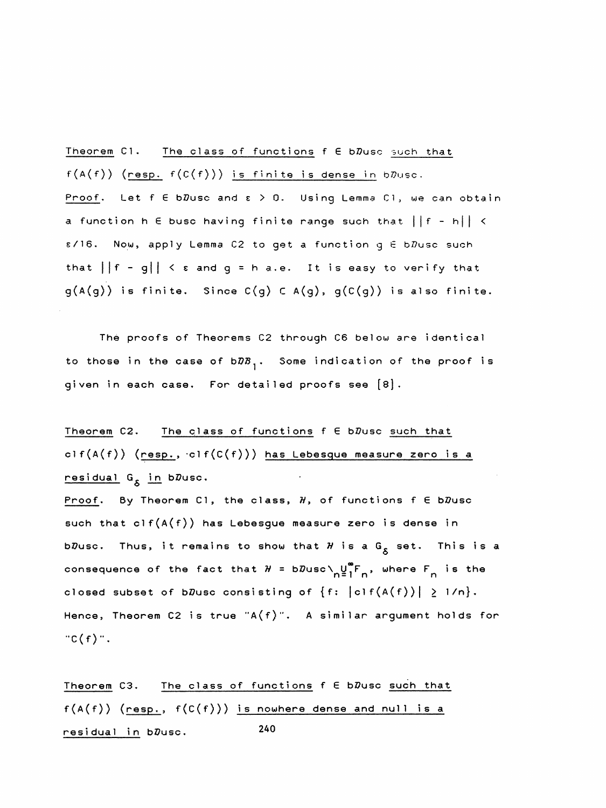Theorem C1. The class of functions f E bDusc such that  $f(A(f))$  (resp.  $f(C(f)))$  is finite is dense in b $D$ usc. Proof. Let  $f \in b\mathcal{D}$ usc and  $\varepsilon > 0$ . Using Lemma C1, we can obtain a function h  $\epsilon$  busc having finite range such that  $||f - h|| <$  $s/16$ . Now, apply Lemma C2 to get a function g  $E$  b $\bar{D}$ usc such that  $||f - g|| < \varepsilon$  and  $g = h$  a.e. It is easy to verify that  $g(A(g))$  is finite. Since  $C(g)$  C  $A(g)$ ,  $g(C(g))$  is also finite.

 The proofs of Theorems C2 through C6 below are identical to those in the case of  $b\bar{x}$ , Some indication of the proof is given in each case. For detailed proofs see [8].

Theorem C2. The class of functions  $f \in b\mathbb{Z}$ usc such that clf(A(f)) (resp.,  $clf(C(f))$ ) has Lebesque measure zero is a <mark>residual G<sub>S</sub> in</mark> b $\bar{v}$ usc.

Proof. By Theorem C1, the class,  $H$ , of functions  $f \in b\mathcal{D}$ usc such that  $\text{clf}(A(f))$  has Lebesgue measure zero is dense in b $\bar{v}$ usc. Thus, it remains to show that  $\cal H$  is a  $G_{\cal S}$  set. This is a consequence of the fact that  $H = bD$ usc $\bigvee_{n=1}^{\infty} F_{n}$ , where  $F_{n}$  is the closed subset of b $D$ usc consisting of  $\{f: |c| f(A(f))| \geq 1/n\}$ . Hence, Theorem C2 is true "A(f)". A similar argument holds for  $C(f)$ ".

Theorem C3. The class of functions  $f \in b\mathcal{D}$ usc such that  $f(A(f))$  (resp.,  $f(C(f))$ ) is nowhere dense and null is a  $residual in D$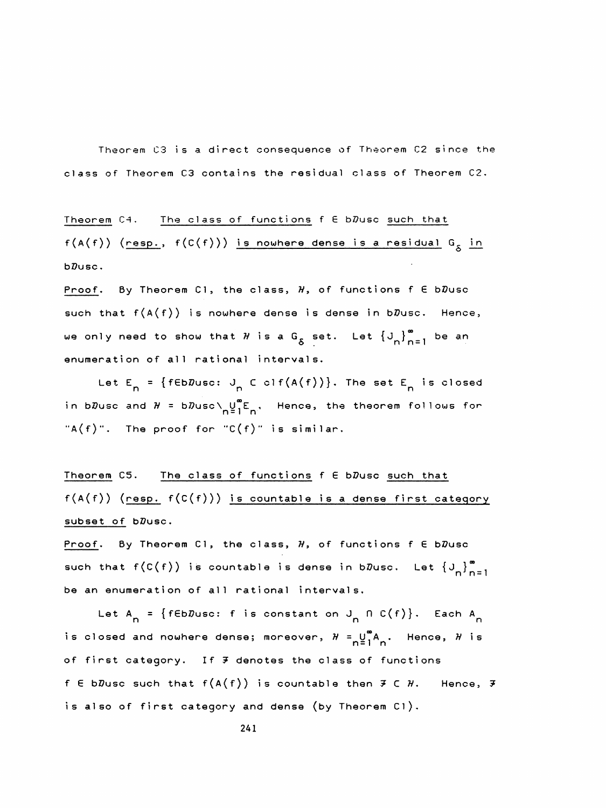Theorem C3 isa direct consequence of Theorem C2 since the class of Theorem C3 contains the residual class of Theorem C2.

Theorem  $C4.$  The class of functions  $f \in bD$ usc such that  $f(A(f))$  (resp.,  $f(C(f)))$  is nowhere dense is a residual  $G_{\delta}$  in bDusc.

Proof. By Theorem C1, the class,  $H$ , of functions  $f \in bD$ usc such that  $f(A(f))$  is nowhere dense is dense in b $D$ usc. Hence, we only need to show that  $H$  is a G<sub>S</sub> set. Let  $\left\{J_{n}\right\}_{n=1}^{\infty}$  be an enumeration of all rational intervals.

Let  $E_n = \{f \in b \mathbb{Z} \cup \{f \in c \} \mid f \in A(f)\}$ . The set  $E_n$  is closed in b $\bar{v}$ usc and  $H$  = b $\bar{v}$ usc $\setminus$  U $_0^{\mathsf{u}}$ E $_{\mathsf{h}}$ , Hence, the theorem follows for  $TA(f)$ ". The proof for "C $(f)$ " is similar.

Theorem C5. The class of functions  $f \in bD$ usc such that  $f(A(f))$  (resp.  $f(C(f)))$  is countable is a dense first category subset of bDusc.

Proof. By Theorem C1, the class,  $H$ , of functions  $f \in b\mathcal{D}$ usc such that  $f(C(f))$  is countable is dense in b $\bar{D}$ usc. Let  $\{J_{n}\}_{n=1}^{\infty}$ be an enumeration of all rational intervals.

Let A<sub>n</sub> = {fEbDusc: f is constant on J<sub>n</sub> n C(f)}. Each A<sub>n</sub> is closed and nowhere dense; moreover,  $\mathcal{H} = \bigcup\limits_{n = 1}^\infty \mathsf{A}^{}_{n}$ . Hence,  $\mathcal{H}$  is of first category. If  $F$  denotes the class of functions f E bDusc such that  $f(A(f))$  is countable then  $F \subset H$ . Hence,  $F$ is also of first category and dense (by Theorem Cl).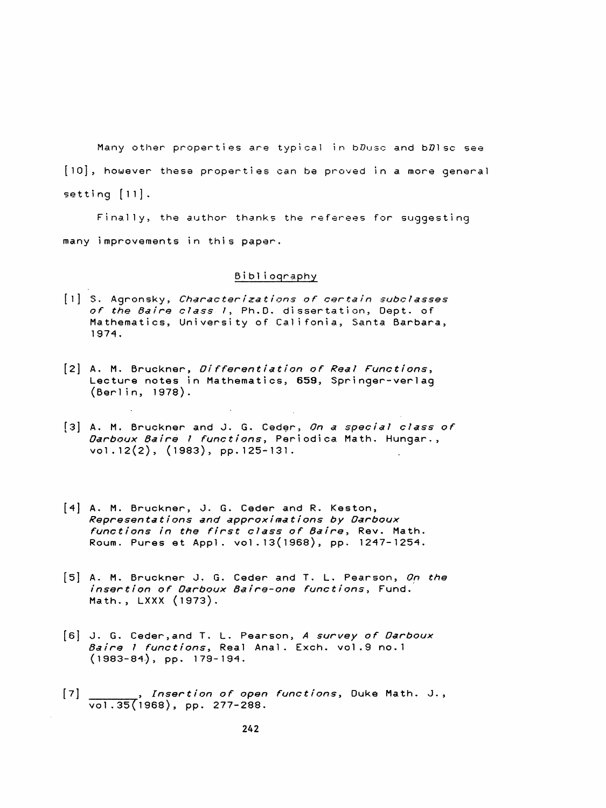Many other properties are typical in bDusc and  $D$ lsc see [io], however these properties can be proved in a more general setting  $[11]$ .

 Finally, the author thanks the referees for suggesting many improvements in this paper.

## Bibli oqraphy

- [l] S. Agronsky, Characterizations of certain subclasses of the 6aire class 1, Ph.D. dissertation, Dept. of Mathematics, University of Califonia, Santa Barbara, 1974.
- [2] A. M. Bruckner, *Differentiation of Real Functions*, Lecture notes in Mathematics, 659, Springer-verlag (Berlin, 1978).
- [3] A. M. Bruckner and J. G. Ceder, On a special class of Darboux Baire 1 functions, Periodica Math. Hungar., vol. 12(2), (1983), pp. 125-131.
- [4] A. M. Bruckner, J. G. Ceder and R. Keston, Representations and approximations by Darboux functions in the first class of Baire, Rev. Math. Roum. Pures et Appi, vol . 1 3( 1 968) , pp. 1247-1254.
- [5] A. M. Bruckner J. G. Ceder and T. L. Pearson, On the insertion of Darboux Baire-one functions, Fund. Math., LXXX (1973),
- [6] J. G. Ceder, and T. L. Pearson, A survey of Oarboux Baire 1 functions, Real Anal. Exch. vol.9 no.1 (1983-84), pp. 179-194.
- [7] , Insertion of open functions, Duke Math. J., vol.35(1968), pp. 277-288.